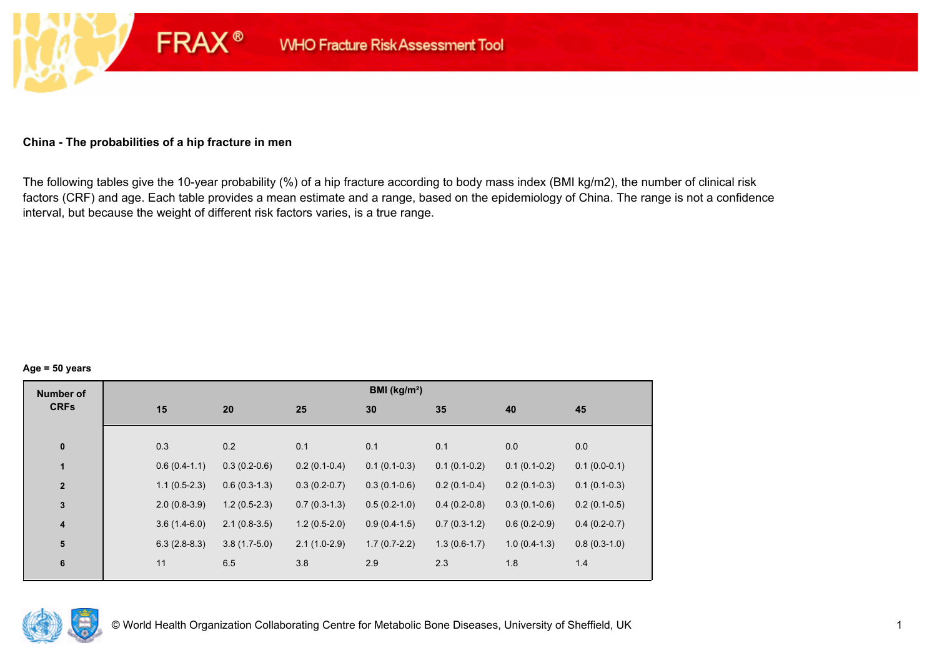#### **China - The probabilities of a hip fracture in men**

**FRAX®** 

The following tables give the 10-year probability (%) of a hip fracture according to body mass index (BMI kg/m2), the number of clinical risk factors (CRF) and age. Each table provides a mean estimate and a range, based on the epidemiology of China. The range is not a confidence interval, but because the weight of different risk factors varies, is a true range.

#### **Age = 50 years**

| <b>Number of</b> |     |                |                |                | BMI (kg/m <sup>2</sup> ) |                |                |                |
|------------------|-----|----------------|----------------|----------------|--------------------------|----------------|----------------|----------------|
| <b>CRFs</b>      | 15  |                | 20             | 25             | 30                       | 35             | 40             | 45             |
|                  |     |                |                |                |                          |                |                |                |
| $\pmb{0}$        | 0.3 |                | 0.2            | 0.1            | 0.1                      | 0.1            | 0.0            | 0.0            |
| $\mathbf{1}$     |     | $0.6(0.4-1.1)$ | $0.3(0.2-0.6)$ | $0.2(0.1-0.4)$ | $0.1(0.1-0.3)$           | $0.1(0.1-0.2)$ | $0.1(0.1-0.2)$ | $0.1(0.0-0.1)$ |
| $\overline{2}$   |     | $1.1(0.5-2.3)$ | $0.6(0.3-1.3)$ | $0.3(0.2-0.7)$ | $0.3(0.1-0.6)$           | $0.2(0.1-0.4)$ | $0.2(0.1-0.3)$ | $0.1(0.1-0.3)$ |
| $\mathbf 3$      |     | $2.0(0.8-3.9)$ | $1.2(0.5-2.3)$ | $0.7(0.3-1.3)$ | $0.5(0.2-1.0)$           | $0.4(0.2-0.8)$ | $0.3(0.1-0.6)$ | $0.2(0.1-0.5)$ |
| 4                |     | $3.6(1.4-6.0)$ | $2.1(0.8-3.5)$ | $1.2(0.5-2.0)$ | $0.9(0.4-1.5)$           | $0.7(0.3-1.2)$ | $0.6(0.2-0.9)$ | $0.4(0.2-0.7)$ |
| ${\bf 5}$        |     | $6.3(2.8-8.3)$ | $3.8(1.7-5.0)$ | $2.1(1.0-2.9)$ | $1.7(0.7-2.2)$           | $1.3(0.6-1.7)$ | $1.0(0.4-1.3)$ | $0.8(0.3-1.0)$ |
| $\bf 6$          | 11  |                | 6.5            | 3.8            | 2.9                      | 2.3            | 1.8            | 1.4            |
|                  |     |                |                |                |                          |                |                |                |

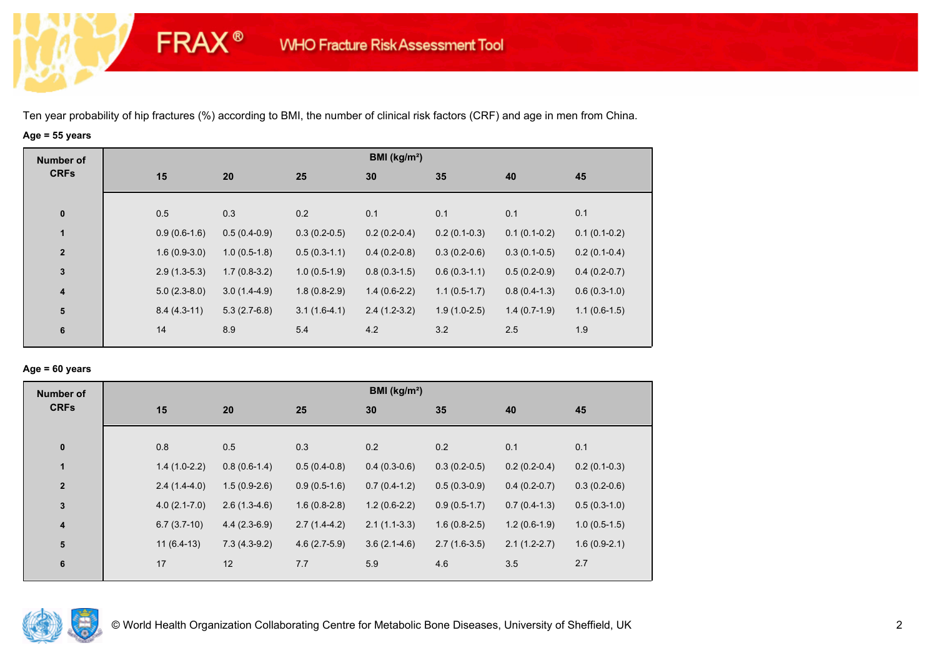**FRAX®** 

# **Age = 55 years**

| <b>Number of</b> |                |                |                | BMI ( $kg/m2$ ) |                |                |                |
|------------------|----------------|----------------|----------------|-----------------|----------------|----------------|----------------|
| <b>CRFs</b>      | 15             | 20             | 25             | 30              | 35             | 40             | 45             |
|                  |                |                |                |                 |                |                |                |
| $\pmb{0}$        | 0.5            | 0.3            | 0.2            | 0.1             | 0.1            | 0.1            | 0.1            |
| 1                | $0.9(0.6-1.6)$ | $0.5(0.4-0.9)$ | $0.3(0.2-0.5)$ | $0.2(0.2-0.4)$  | $0.2(0.1-0.3)$ | $0.1(0.1-0.2)$ | $0.1(0.1-0.2)$ |
| $\overline{2}$   | $1.6(0.9-3.0)$ | $1.0(0.5-1.8)$ | $0.5(0.3-1.1)$ | $0.4(0.2-0.8)$  | $0.3(0.2-0.6)$ | $0.3(0.1-0.5)$ | $0.2(0.1-0.4)$ |
| $\mathbf 3$      | $2.9(1.3-5.3)$ | $1.7(0.8-3.2)$ | $1.0(0.5-1.9)$ | $0.8(0.3-1.5)$  | $0.6(0.3-1.1)$ | $0.5(0.2-0.9)$ | $0.4(0.2-0.7)$ |
| $\boldsymbol{4}$ | $5.0(2.3-8.0)$ | $3.0(1.4-4.9)$ | $1.8(0.8-2.9)$ | $1.4(0.6-2.2)$  | $1.1(0.5-1.7)$ | $0.8(0.4-1.3)$ | $0.6(0.3-1.0)$ |
| 5                | $8.4(4.3-11)$  | $5.3(2.7-6.8)$ | $3.1(1.6-4.1)$ | $2.4(1.2-3.2)$  | $1.9(1.0-2.5)$ | $1.4(0.7-1.9)$ | $1.1(0.6-1.5)$ |
| 6                | 14             | 8.9            | 5.4            | 4.2             | 3.2            | 2.5            | 1.9            |
|                  |                |                |                |                 |                |                |                |

#### **Age = 60 years**

| <b>Number of</b>        |                  |                |                | BMI ( $kg/m2$ ) |                |                |                |
|-------------------------|------------------|----------------|----------------|-----------------|----------------|----------------|----------------|
| <b>CRFs</b>             | 15               | 20             | 25             | 30              | 35             | 40             | 45             |
|                         |                  |                |                |                 |                |                |                |
| $\bf{0}$                | 0.8              | 0.5            | 0.3            | 0.2             | 0.2            | 0.1            | 0.1            |
| $\mathbf{1}$            | $1.4(1.0-2.2)$   | $0.8(0.6-1.4)$ | $0.5(0.4-0.8)$ | $0.4(0.3-0.6)$  | $0.3(0.2-0.5)$ | $0.2(0.2-0.4)$ | $0.2(0.1-0.3)$ |
| $\overline{2}$          | $2.4(1.4-4.0)$   | $1.5(0.9-2.6)$ | $0.9(0.5-1.6)$ | $0.7(0.4-1.2)$  | $0.5(0.3-0.9)$ | $0.4(0.2-0.7)$ | $0.3(0.2-0.6)$ |
| $\mathbf{3}$            | $4.0(2.1 - 7.0)$ | $2.6(1.3-4.6)$ | $1.6(0.8-2.8)$ | $1.2(0.6-2.2)$  | $0.9(0.5-1.7)$ | $0.7(0.4-1.3)$ | $0.5(0.3-1.0)$ |
| $\overline{\mathbf{4}}$ | $6.7(3.7-10)$    | $4.4(2.3-6.9)$ | $2.7(1.4-4.2)$ | $2.1(1.1-3.3)$  | $1.6(0.8-2.5)$ | $1.2(0.6-1.9)$ | $1.0(0.5-1.5)$ |
| 5                       | $11(6.4-13)$     | $7.3(4.3-9.2)$ | $4.6(2.7-5.9)$ | $3.6(2.1-4.6)$  | $2.7(1.6-3.5)$ | $2.1(1.2-2.7)$ | $1.6(0.9-2.1)$ |
| 6                       | 17               | 12             | 7.7            | 5.9             | 4.6            | 3.5            | 2.7            |
|                         |                  |                |                |                 |                |                |                |

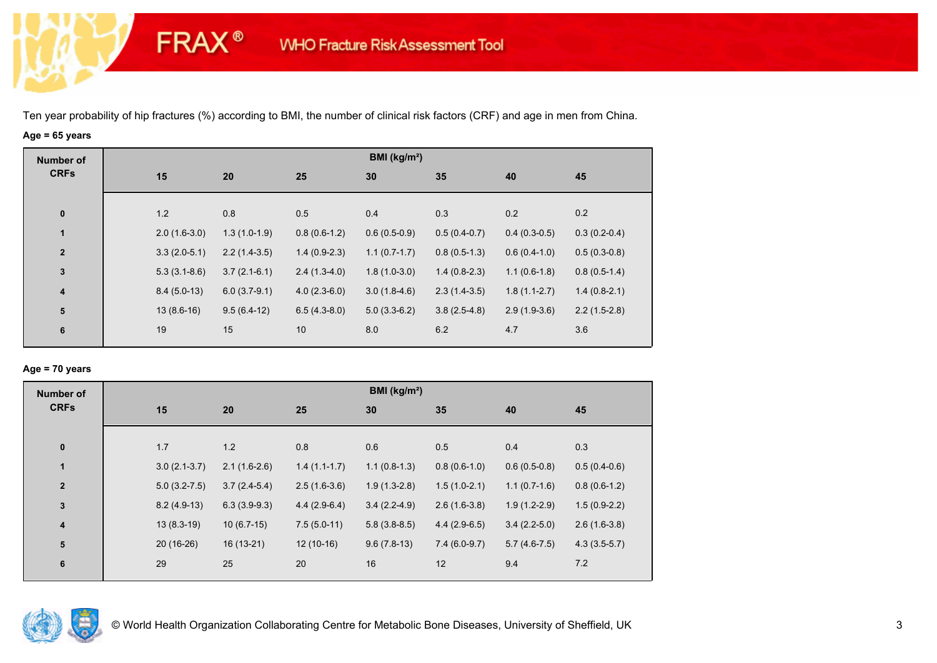**FRAX®** 

# **Age = 65 years**

| <b>Number of</b>        |                |                |                | BMI ( $kg/m2$ ) |                |                |                |
|-------------------------|----------------|----------------|----------------|-----------------|----------------|----------------|----------------|
| <b>CRFs</b>             | 15             | 20             | 25             | 30              | 35             | 40             | 45             |
|                         |                |                |                |                 |                |                |                |
| $\bf{0}$                | 1.2            | 0.8            | 0.5            | 0.4             | 0.3            | 0.2            | 0.2            |
| 1                       | $2.0(1.6-3.0)$ | $1.3(1.0-1.9)$ | $0.8(0.6-1.2)$ | $0.6(0.5-0.9)$  | $0.5(0.4-0.7)$ | $0.4(0.3-0.5)$ | $0.3(0.2-0.4)$ |
| $\mathbf{2}$            | $3.3(2.0-5.1)$ | $2.2(1.4-3.5)$ | $1.4(0.9-2.3)$ | $1.1(0.7-1.7)$  | $0.8(0.5-1.3)$ | $0.6(0.4-1.0)$ | $0.5(0.3-0.8)$ |
| $\mathbf 3$             | $5.3(3.1-8.6)$ | $3.7(2.1-6.1)$ | $2.4(1.3-4.0)$ | $1.8(1.0-3.0)$  | $1.4(0.8-2.3)$ | $1.1(0.6-1.8)$ | $0.8(0.5-1.4)$ |
| $\overline{\mathbf{4}}$ | $8.4(5.0-13)$  | $6.0(3.7-9.1)$ | $4.0(2.3-6.0)$ | $3.0(1.8-4.6)$  | $2.3(1.4-3.5)$ | $1.8(1.1-2.7)$ | $1.4(0.8-2.1)$ |
| ${\bf 5}$               | $13(8.6-16)$   | $9.5(6.4-12)$  | $6.5(4.3-8.0)$ | $5.0(3.3-6.2)$  | $3.8(2.5-4.8)$ | $2.9(1.9-3.6)$ | $2.2(1.5-2.8)$ |
| 6                       | 19             | 15             | 10             | 8.0             | 6.2            | 4.7            | 3.6            |

## **Age = 70 years**

| <b>Number of</b>        |    |                  |                |                | BMI ( $kg/m2$ ) |                |                |                |
|-------------------------|----|------------------|----------------|----------------|-----------------|----------------|----------------|----------------|
| <b>CRFs</b>             | 15 |                  | 20             | 25             | 30              | 35             | 40             | 45             |
|                         |    |                  |                |                |                 |                |                |                |
| $\pmb{0}$               |    | 1.7              | 1.2            | 0.8            | 0.6             | 0.5            | 0.4            | 0.3            |
| $\mathbf{1}$            |    | $3.0(2.1-3.7)$   | $2.1(1.6-2.6)$ | $1.4(1.1-1.7)$ | $1.1(0.8-1.3)$  | $0.8(0.6-1.0)$ | $0.6(0.5-0.8)$ | $0.5(0.4-0.6)$ |
| $\mathbf{2}$            |    | $5.0(3.2 - 7.5)$ | $3.7(2.4-5.4)$ | $2.5(1.6-3.6)$ | $1.9(1.3-2.8)$  | $1.5(1.0-2.1)$ | $1.1(0.7-1.6)$ | $0.8(0.6-1.2)$ |
| $\mathbf{3}$            |    | $8.2(4.9-13)$    | $6.3(3.9-9.3)$ | $4.4(2.9-6.4)$ | $3.4(2.2-4.9)$  | $2.6(1.6-3.8)$ | $1.9(1.2-2.9)$ | $1.5(0.9-2.2)$ |
| $\overline{\mathbf{4}}$ |    | $13(8.3-19)$     | $10(6.7-15)$   | $7.5(5.0-11)$  | $5.8(3.8-8.5)$  | $4.4(2.9-6.5)$ | $3.4(2.2-5.0)$ | $2.6(1.6-3.8)$ |
| 5                       |    | $20(16-26)$      | $16(13-21)$    | $12(10-16)$    | $9.6(7.8-13)$   | $7.4(6.0-9.7)$ | $5.7(4.6-7.5)$ | $4.3(3.5-5.7)$ |
| $\bf 6$                 | 29 |                  | 25             | 20             | 16              | 12             | 9.4            | 7.2            |
|                         |    |                  |                |                |                 |                |                |                |

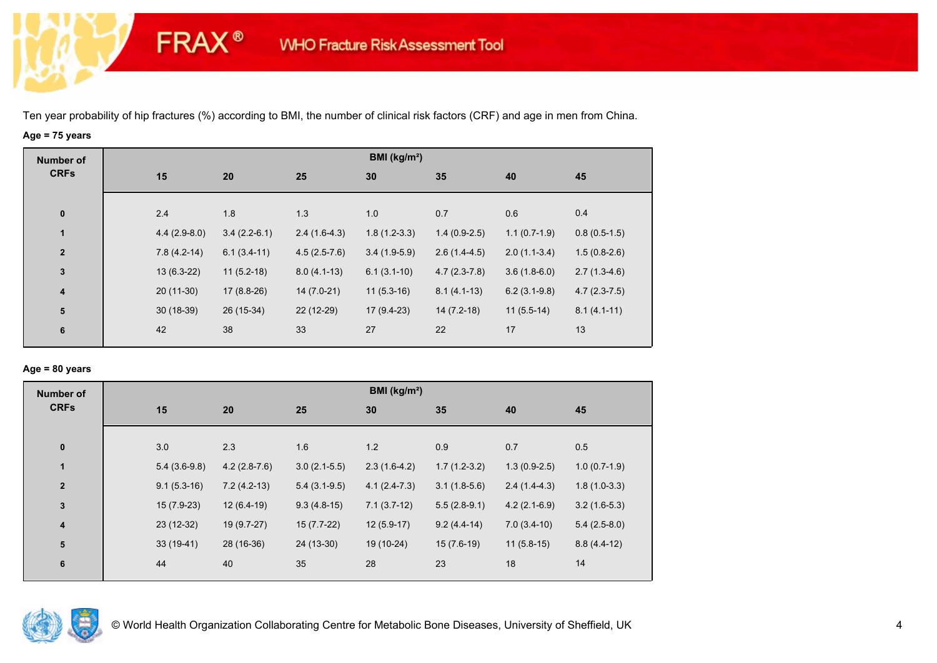**FRAX®** 

# **Age = 75 years**

| <b>Number of</b> |                |                |                | BMI ( $kg/m2$ ) |                |                |                |
|------------------|----------------|----------------|----------------|-----------------|----------------|----------------|----------------|
| <b>CRFs</b>      | 15             | 20             | 25             | 30              | 35             | 40             | 45             |
|                  |                |                |                |                 |                |                |                |
| $\bf{0}$         | 2.4            | 1.8            | 1.3            | 1.0             | 0.7            | 0.6            | 0.4            |
| 1                | $4.4(2.9-8.0)$ | $3.4(2.2-6.1)$ | $2.4(1.6-4.3)$ | $1.8(1.2-3.3)$  | $1.4(0.9-2.5)$ | $1.1(0.7-1.9)$ | $0.8(0.5-1.5)$ |
| $\overline{2}$   | $7.8(4.2-14)$  | $6.1(3.4-11)$  | $4.5(2.5-7.6)$ | $3.4(1.9-5.9)$  | $2.6(1.4-4.5)$ | $2.0(1.1-3.4)$ | $1.5(0.8-2.6)$ |
| $\mathbf 3$      | $13(6.3-22)$   | $11(5.2-18)$   | $8.0(4.1-13)$  | $6.1(3.1-10)$   | $4.7(2.3-7.8)$ | $3.6(1.8-6.0)$ | $2.7(1.3-4.6)$ |
| $\boldsymbol{4}$ | $20(11-30)$    | $17(8.8-26)$   | 14 (7.0-21)    | $11(5.3-16)$    | $8.1(4.1-13)$  | $6.2(3.1-9.8)$ | $4.7(2.3-7.5)$ |
| ${\bf 5}$        | $30(18-39)$    | 26 (15-34)     | 22 (12-29)     | $17(9.4-23)$    | $14(7.2-18)$   | $11(5.5-14)$   | $8.1(4.1-11)$  |
| 6                | 42             | 38             | 33             | 27              | 22             | 17             | 13             |
|                  |                |                |                |                 |                |                |                |

## **Age = 80 years**

| <b>Number of</b>        |                |                |                | BMI ( $kg/m2$ ) |                |                |                |
|-------------------------|----------------|----------------|----------------|-----------------|----------------|----------------|----------------|
| <b>CRFs</b>             | 15             | 20             | 25             | 30              | 35             | 40             | 45             |
|                         |                |                |                |                 |                |                |                |
| $\pmb{0}$               | 3.0            | 2.3            | 1.6            | 1.2             | 0.9            | 0.7            | 0.5            |
| $\mathbf{1}$            | $5.4(3.6-9.8)$ | $4.2(2.8-7.6)$ | $3.0(2.1-5.5)$ | $2.3(1.6-4.2)$  | $1.7(1.2-3.2)$ | $1.3(0.9-2.5)$ | $1.0(0.7-1.9)$ |
| $\mathbf{2}$            | $9.1(5.3-16)$  | $7.2(4.2-13)$  | $5.4(3.1-9.5)$ | $4.1(2.4-7.3)$  | $3.1(1.8-5.6)$ | $2.4(1.4-4.3)$ | $1.8(1.0-3.3)$ |
| $\mathbf{3}$            | $15(7.9-23)$   | $12(6.4-19)$   | $9.3(4.8-15)$  | $7.1(3.7-12)$   | $5.5(2.8-9.1)$ | $4.2(2.1-6.9)$ | $3.2(1.6-5.3)$ |
| $\overline{\mathbf{4}}$ | $23(12-32)$    | 19 (9.7-27)    | $15(7.7-22)$   | $12(5.9-17)$    | $9.2(4.4-14)$  | $7.0(3.4-10)$  | $5.4(2.5-8.0)$ |
| 5                       | $33(19-41)$    | 28 (16-36)     | 24 (13-30)     | 19 (10-24)      | $15(7.6-19)$   | $11(5.8-15)$   | $8.8(4.4-12)$  |
| 6                       | 44             | 40             | 35             | 28              | 23             | 18             | 14             |
|                         |                |                |                |                 |                |                |                |